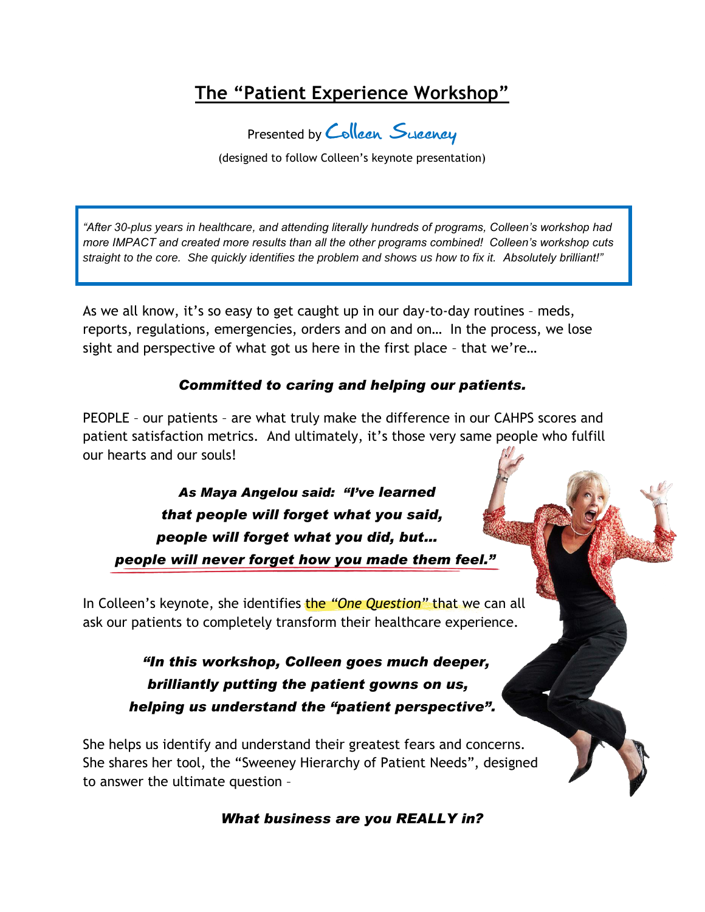# **The "Patient Experience Workshop"**

Presented by Colleen Sweeney

(designed to follow Colleen's keynote presentation)

*"After 30-plus years in healthcare, and attending literally hundreds of programs, Colleen's workshop had more IMPACT and created more results than all the other programs combined! Colleen's workshop cuts straight to the core. She quickly identifies the problem and shows us how to fix it. Absolutely brilliant!"*

As we all know, it's so easy to get caught up in our day-to-day routines – meds, reports, regulations, emergencies, orders and on and on… In the process, we lose sight and perspective of what got us here in the first place – that we're…

### *Committed to caring and helping our patients.*

PEOPLE – our patients – are what truly make the difference in our CAHPS scores and patient satisfaction metrics. And ultimately, it's those very same people who fulfill our hearts and our souls!

 *As Maya Angelou said: "I've learned that people will forget what you said, people will forget what you did, but… people will never forget how you made them feel."*

In Colleen's keynote, she identifies the *"One Question"* that we can all ask our patients to completely transform their healthcare experience.

> *"In this workshop, Colleen goes much deeper, brilliantly putting the patient gowns on us, helping us understand the "patient perspective".*

She helps us identify and understand their greatest fears and concerns. She shares her tool, the "Sweeney Hierarchy of Patient Needs", designed to answer the ultimate question –

*What business are you REALLY in?*